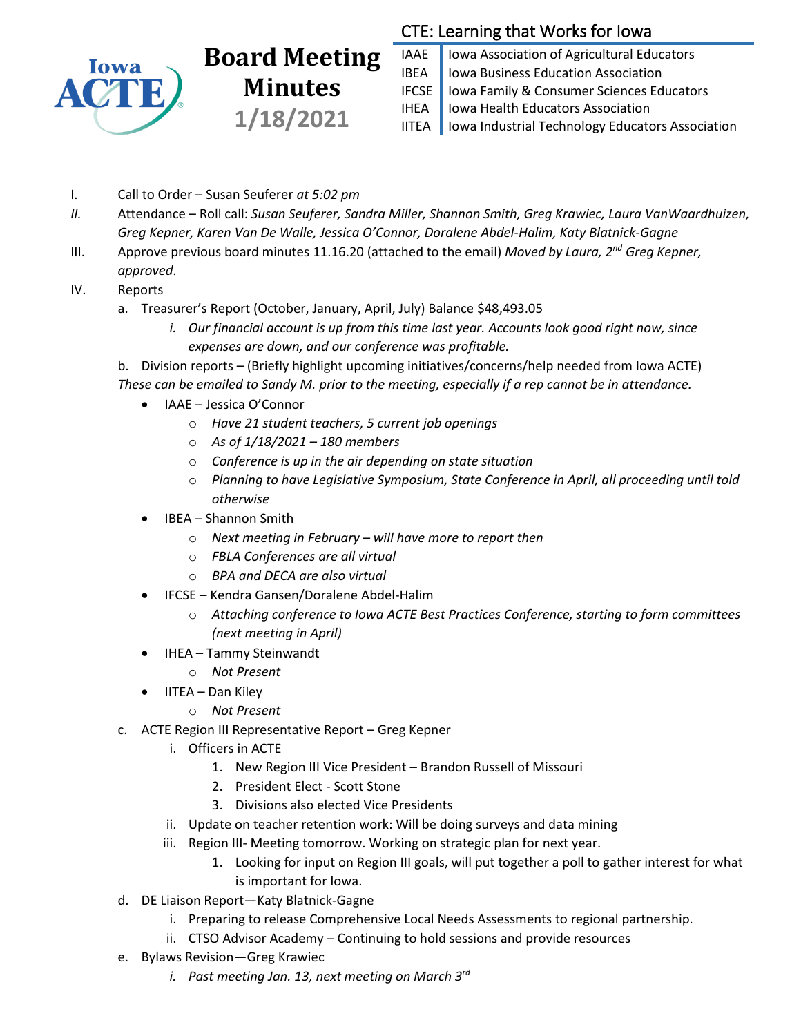

## **Board Meeting Minutes 1/18/2021**

## CTE: Learning that Works for Iowa

IAAE | Iowa Association of Agricultural Educators **IBEA** | Iowa Business Education Association IFCSE Iowa Family & Consumer Sciences Educators IHEA | Iowa Health Educators Association IITEA | Iowa Industrial Technology Educators Association

- I. Call to Order Susan Seuferer *at 5:02 pm*
- *II.* Attendance Roll call: *Susan Seuferer, Sandra Miller, Shannon Smith, Greg Krawiec, Laura VanWaardhuizen, Greg Kepner, Karen Van De Walle, Jessica O'Connor, Doralene Abdel-Halim, Katy Blatnick-Gagne*
- III. Approve previous board minutes 11.16.20 (attached to the email) *Moved by Laura, 2nd Greg Kepner, approved*.
- IV. Reports
	- a. Treasurer's Report (October, January, April, July) Balance \$48,493.05
		- *i. Our financial account is up from this time last year. Accounts look good right now, since expenses are down, and our conference was profitable.*

b. Division reports – (Briefly highlight upcoming initiatives/concerns/help needed from Iowa ACTE)

- *These can be emailed to Sandy M. prior to the meeting, especially if a rep cannot be in attendance.*
	- IAAE Jessica O'Connor
		- o *Have 21 student teachers, 5 current job openings*
		- o *As of 1/18/2021 – 180 members*
		- o *Conference is up in the air depending on state situation*
		- o *Planning to have Legislative Symposium, State Conference in April, all proceeding until told otherwise*
	- IBEA Shannon Smith
		- o *Next meeting in February – will have more to report then*
		- o *FBLA Conferences are all virtual*
		- o *BPA and DECA are also virtual*
	- IFCSE Kendra Gansen/Doralene Abdel-Halim
		- o *Attaching conference to Iowa ACTE Best Practices Conference, starting to form committees (next meeting in April)*
	- IHEA Tammy Steinwandt
		- o *Not Present*
	- IITEA Dan Kiley
		- o *Not Present*
- c. ACTE Region III Representative Report Greg Kepner
	- i. Officers in ACTE
		- 1. New Region III Vice President Brandon Russell of Missouri
		- 2. President Elect Scott Stone
		- 3. Divisions also elected Vice Presidents
	- ii. Update on teacher retention work: Will be doing surveys and data mining
	- iii. Region III- Meeting tomorrow. Working on strategic plan for next year.
		- 1. Looking for input on Region III goals, will put together a poll to gather interest for what is important for Iowa.
- d. DE Liaison Report—Katy Blatnick-Gagne
	- i. Preparing to release Comprehensive Local Needs Assessments to regional partnership.
	- ii. CTSO Advisor Academy Continuing to hold sessions and provide resources
- e. Bylaws Revision—Greg Krawiec
	- *i. Past meeting Jan. 13, next meeting on March 3rd*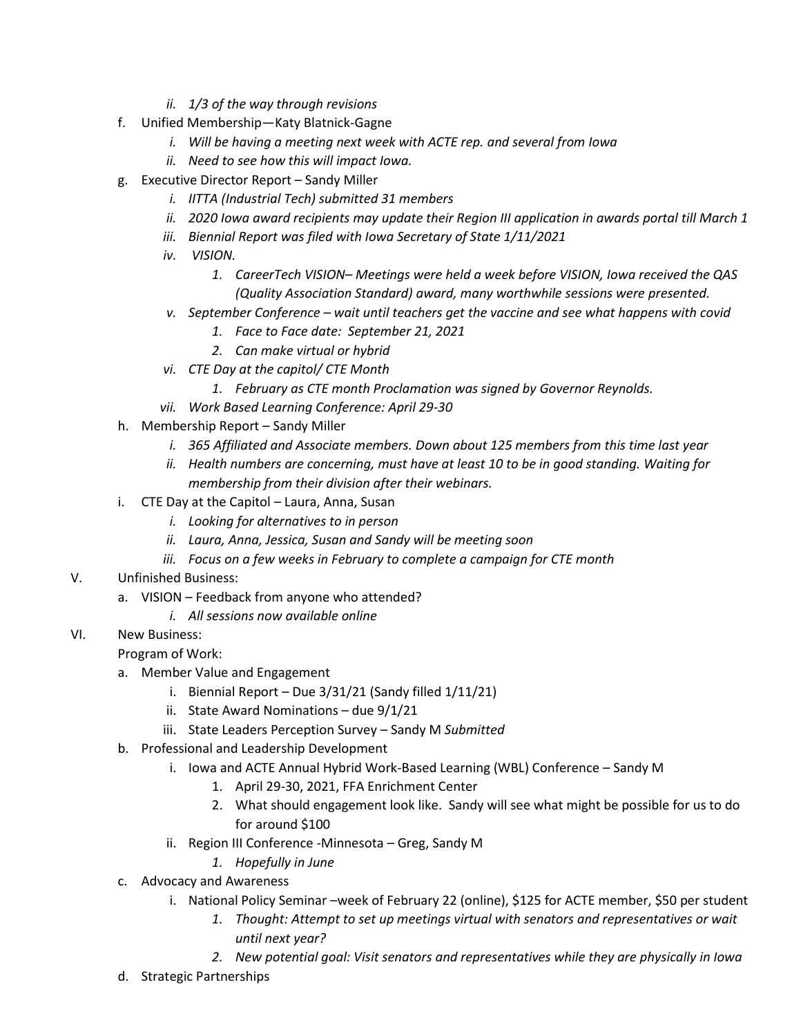- *ii. 1/3 of the way through revisions*
- f. Unified Membership—Katy Blatnick-Gagne
	- *i. Will be having a meeting next week with ACTE rep. and several from Iowa*
	- *ii. Need to see how this will impact Iowa.*
- g. Executive Director Report Sandy Miller
	- *i. IITTA (Industrial Tech) submitted 31 members*
	- *ii. 2020 Iowa award recipients may update their Region III application in awards portal till March 1*
	- *iii. Biennial Report was filed with Iowa Secretary of State 1/11/2021*
	- *iv. VISION.*
		- *1. CareerTech VISION– Meetings were held a week before VISION, Iowa received the QAS (Quality Association Standard) award, many worthwhile sessions were presented.*
	- *v. September Conference – wait until teachers get the vaccine and see what happens with covid*
		- *1. Face to Face date: September 21, 2021*
		- *2. Can make virtual or hybrid*
	- *vi. CTE Day at the capitol/ CTE Month*
		- *1. February as CTE month Proclamation was signed by Governor Reynolds.*
	- *vii. Work Based Learning Conference: April 29-30*
- h. Membership Report Sandy Miller
	- *i. 365 Affiliated and Associate members. Down about 125 members from this time last year*
	- *ii. Health numbers are concerning, must have at least 10 to be in good standing. Waiting for membership from their division after their webinars.*
- i. CTE Day at the Capitol Laura, Anna, Susan
	- *i. Looking for alternatives to in person*
	- *ii. Laura, Anna, Jessica, Susan and Sandy will be meeting soon*
	- *iii. Focus on a few weeks in February to complete a campaign for CTE month*
- V. Unfinished Business:
	- a. VISION Feedback from anyone who attended?
		- *i. All sessions now available online*
- VI. New Business:

Program of Work:

- a. Member Value and Engagement
	- i. Biennial Report Due  $3/31/21$  (Sandy filled  $1/11/21$ )
	- ii. State Award Nominations due 9/1/21
	- iii. State Leaders Perception Survey Sandy M *Submitted*
- b. Professional and Leadership Development
	- i. Iowa and ACTE Annual Hybrid Work-Based Learning (WBL) Conference Sandy M
		- 1. April 29-30, 2021, FFA Enrichment Center
		- 2. What should engagement look like. Sandy will see what might be possible for us to do for around \$100
	- ii. Region III Conference -Minnesota Greg, Sandy M
		- *1. Hopefully in June*
- c. Advocacy and Awareness
	- i. National Policy Seminar –week of February 22 (online), \$125 for ACTE member, \$50 per student
		- *1. Thought: Attempt to set up meetings virtual with senators and representatives or wait until next year?*
		- *2. New potential goal: Visit senators and representatives while they are physically in Iowa*
- d. Strategic Partnerships